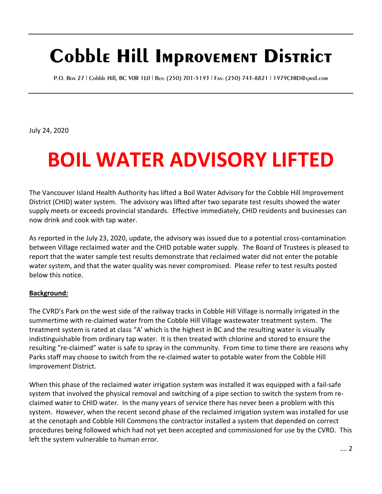## **Cobble Hill Improvement District**

P.O. Box 27 | Cobble Hill, BC V0R 1L0 | Bus: (250) 701-5193 | Fax: (250) 743-8821 | 1979CHID@gmail.com

July 24, 2020

## **BOIL WATER ADVISORY LIFTED**

The Vancouver Island Health Authority has lifted a Boil Water Advisory for the Cobble Hill Improvement District (CHID) water system. The advisory was lifted after two separate test results showed the water supply meets or exceeds provincial standards. Effective immediately, CHID residents and businesses can now drink and cook with tap water.

As reported in the July 23, 2020, update, the advisory was issued due to a potential cross-contamination between Village reclaimed water and the CHID potable water supply. The Board of Trustees is pleased to report that the water sample test results demonstrate that reclaimed water did not enter the potable water system, and that the water quality was never compromised. Please refer to test results posted below this notice.

## **Background:**

The CVRD's Park on the west side of the railway tracks in Cobble Hill Village is normally irrigated in the summertime with re-claimed water from the Cobble Hill Village wastewater treatment system. The treatment system is rated at class "A' which is the highest in BC and the resulting water is visually indistinguishable from ordinary tap water. It is then treated with chlorine and stored to ensure the resulting "re-claimed" water is safe to spray in the community. From time to time there are reasons why Parks staff may choose to switch from the re-claimed water to potable water from the Cobble Hill Improvement District.

When this phase of the reclaimed water irrigation system was installed it was equipped with a fail-safe system that involved the physical removal and switching of a pipe section to switch the system from reclaimed water to CHID water. In the many years of service there has never been a problem with this system. However, when the recent second phase of the reclaimed irrigation system was installed for use at the cenotaph and Cobble Hill Commons the contractor installed a system that depended on correct procedures being followed which had not yet been accepted and commissioned for use by the CVRD. This left the system vulnerable to human error.